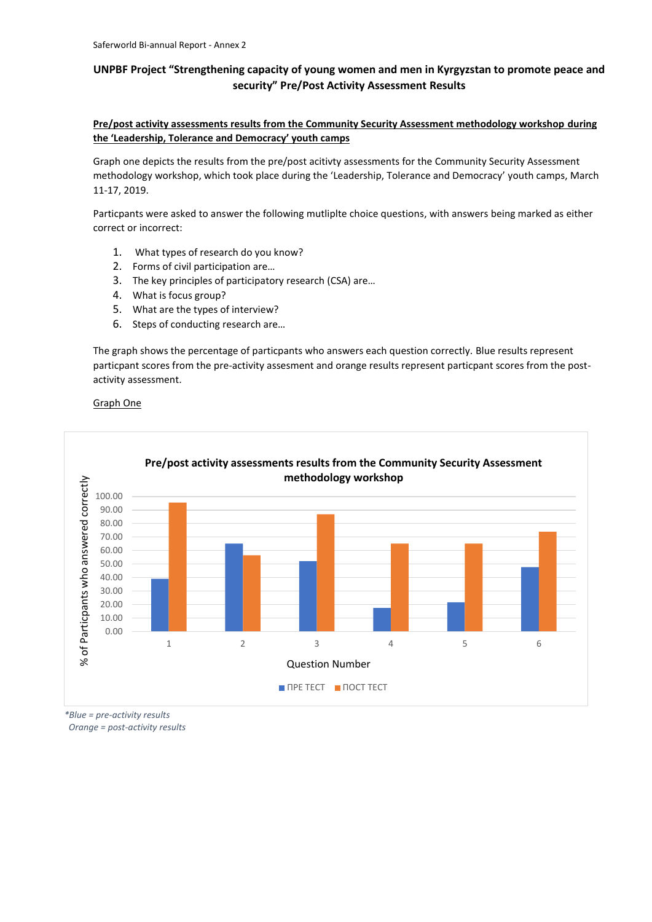# **UNPBF Project "Strengthening capacity of young women and men in Kyrgyzstan to promote peace and security" Pre/Post Activity Assessment Results**

## **Pre/post activity assessments results from the Community Security Assessment methodology workshop during the 'Leadership, Tolerance and Democracy' youth camps**

Graph one depicts the results from the pre/post acitivty assessments for the Community Security Assessment methodology workshop, which took place during the 'Leadership, Tolerance and Democracy' youth camps, March 11-17, 2019.

Particpants were asked to answer the following mutliplte choice questions, with answers being marked as either correct or incorrect:

- 1. What types of research do you know?
- 2. Forms of civil participation are…
- 3. The key principles of participatory research (CSA) are…
- 4. What is focus group?
- 5. What are the types of interview?
- 6. Steps of conducting research are…

The graph shows the percentage of particpants who answers each question correctly. Blue results represent particpant scores from the pre-activity assesment and orange results represent particpant scores from the postactivity assessment.

#### Graph One



*\*Blue = pre-activity results Orange = post-activity results*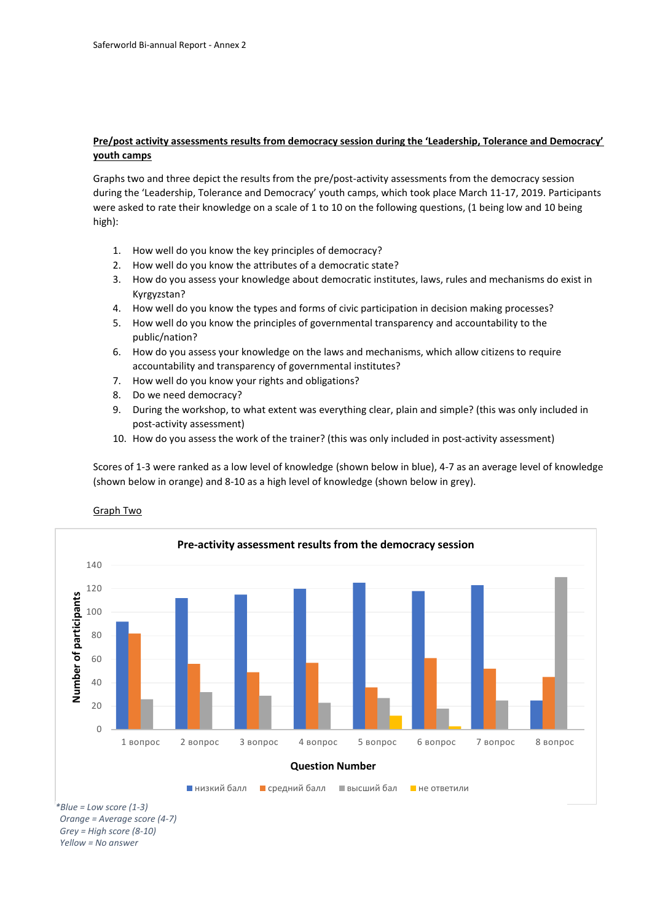### **Pre/post activity assessments results from democracy session during the 'Leadership, Tolerance and Democracy' youth camps**

Graphs two and three depict the results from the pre/post-activity assessments from the democracy session during the 'Leadership, Tolerance and Democracy' youth camps, which took place March 11-17, 2019. Participants were asked to rate their knowledge on a scale of 1 to 10 on the following questions, (1 being low and 10 being high):

- 1. How well do you know the key principles of democracy?
- 2. How well do you know the attributes of a democratic state?
- 3. How do you assess your knowledge about democratic institutes, laws, rules and mechanisms do exist in Kyrgyzstan?
- 4. How well do you know the types and forms of civiс participation in decision making processes?
- 5. How well do you know the principles of governmental transparency and accountability to the public/nation?
- 6. How do you assess your knowledge on the laws and mechanisms, which allow citizens to require accountability and transparency of governmental institutes?
- 7. How well do you know your rights and obligations?
- 8. Do we need democracy?
- 9. During the workshop, to what extent was everything clear, plain and simple? (this was only included in post-activity assessment)
- 10. How do you assess the work of the trainer? (this was only included in post-activity assessment)

Scores of 1-3 were ranked as a low level of knowledge (shown below in blue), 4-7 as an average level of knowledge (shown below in orange) and 8-10 as a high level of knowledge (shown below in grey).

#### Graph Two



 *Orange = Average score (4-7) Grey = High score (8-10) Yellow = No answer*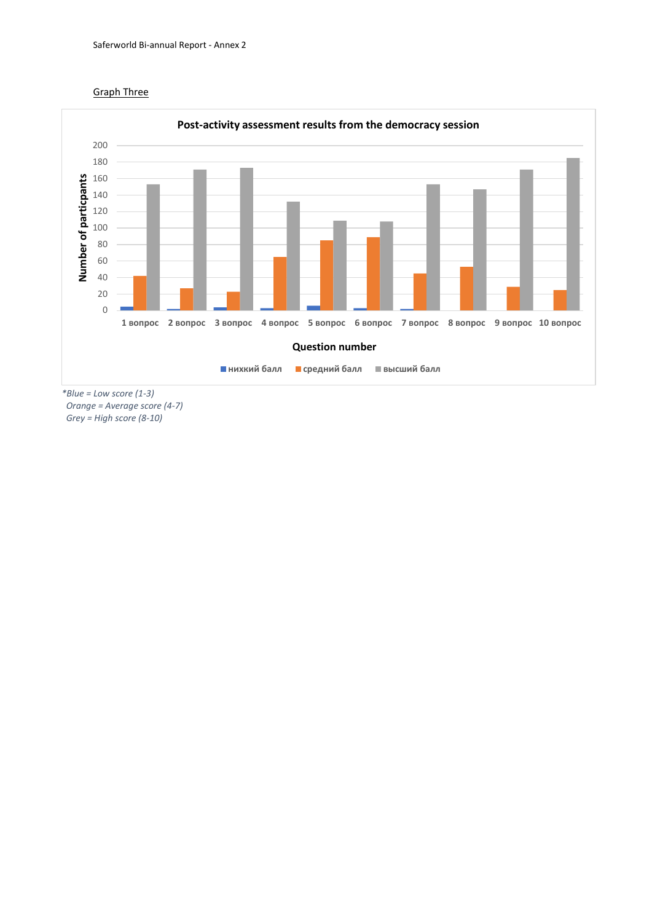



*\*Blue = Low score (1-3) Orange = Average score (4-7) Grey = High score (8-10)*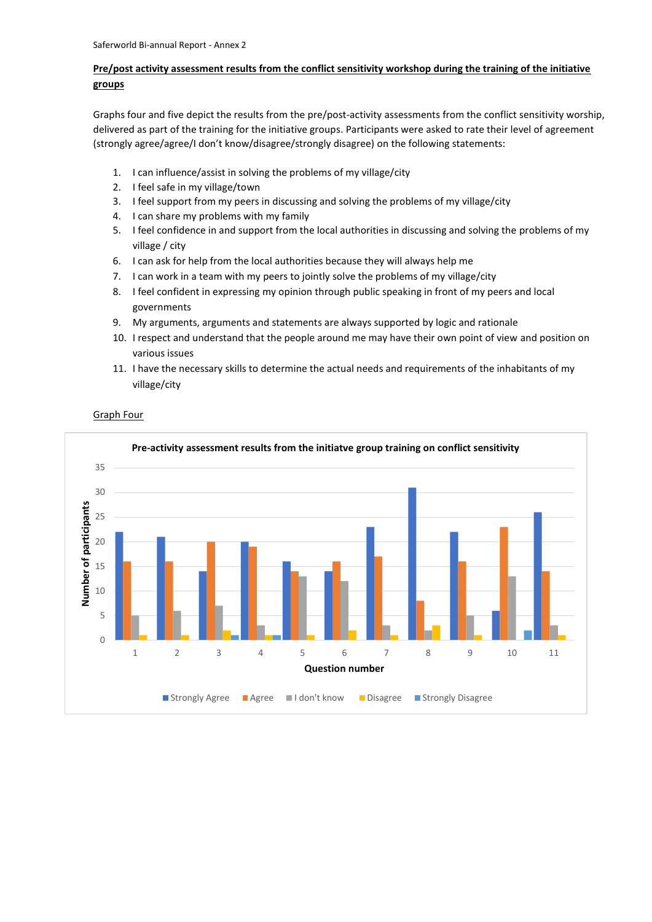# **Pre/post activity assessment results from the conflict sensitivity workshop during the training of the initiative groups**

Graphs four and five depict the results from the pre/post-activity assessments from the conflict sensitivity worship, delivered as part of the training for the initiative groups. Participants were asked to rate their level of agreement (strongly agree/agree/I don't know/disagree/strongly disagree) on the following statements:

- 1. I can influence/assist in solving the problems of my village/city
- 2. I feel safe in my village/town
- 3. I feel support from my peers in discussing and solving the problems of my village/city
- 4. I can share my problems with my family
- 5. I feel confidence in and support from the local authorities in discussing and solving the problems of my village / city
- 6. I can ask for help from the local authorities because they will always help me
- 7. I can work in a team with my peers to jointly solve the problems of my village/city
- 8. I feel confident in expressing my opinion through public speaking in front of my peers and local governments
- 9. My arguments, arguments and statements are always supported by logic and rationale
- 10. I respect and understand that the people around me may have their own point of view and position on various issues
- 11. I have the necessary skills to determine the actual needs and requirements of the inhabitants of my village/city

Graph Four